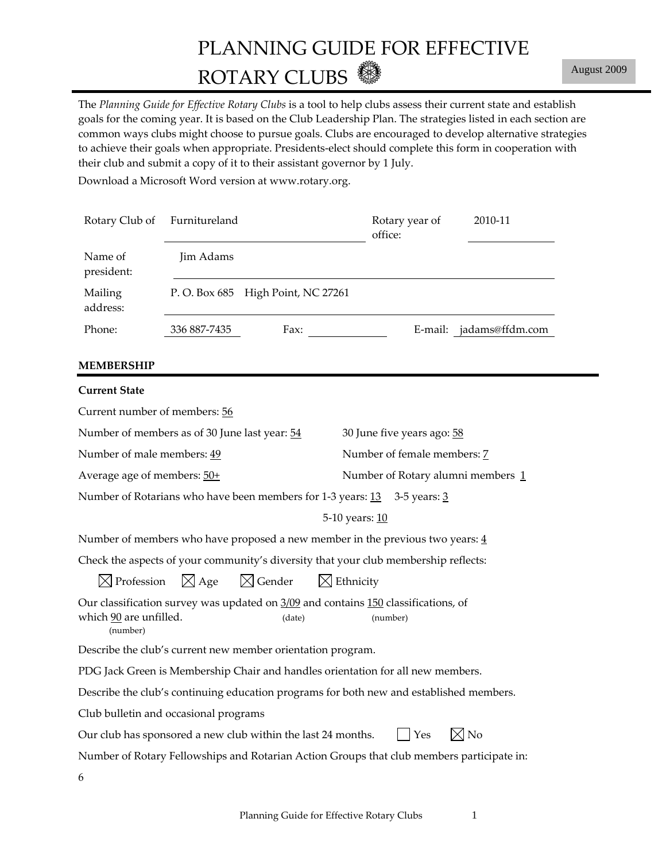# PLANNING GUIDE FOR EFFECTIVE ROTARY CLUBS

The *Planning Guide for Effective Rotary Clubs* is a tool to help clubs assess their current state and establish goals for the coming year. It is based on the Club Leadership Plan. The strategies listed in each section are common ways clubs might choose to pursue goals. Clubs are encouraged to develop alternative strategies to achieve their goals when appropriate. Presidents‐elect should complete this form in cooperation with their club and submit a copy of it to their assistant governor by 1 July.

Download a Microsoft Word version at www.rotary.org.

| Name of<br>Jim Adams<br>president:<br>P. O. Box 685 High Point, NC 27261<br>Mailing<br>address:<br>Phone:<br>336 887-7435<br>Fax:<br>E-mail: jadams@ffdm.com<br>Current number of members: 56<br>30 June five years ago: 58<br>Number of female members: 7<br>Average age of members: 50+<br>Number of Rotary alumni members 1<br>5-10 years: 10<br>$\boxtimes$ Gender<br>$\boxtimes$ Age<br>$\boxtimes$ Profession<br>$\boxtimes$ Ethnicity<br>(date)<br>(number)<br>(number)<br>$\boxtimes$ No<br>Yes<br>Number of Rotary Fellowships and Rotarian Action Groups that club members participate in: | Rotary Club of                                                                                               | Furnitureland |  |  | Rotary year of<br>office: | 2010-11 |  |
|------------------------------------------------------------------------------------------------------------------------------------------------------------------------------------------------------------------------------------------------------------------------------------------------------------------------------------------------------------------------------------------------------------------------------------------------------------------------------------------------------------------------------------------------------------------------------------------------------|--------------------------------------------------------------------------------------------------------------|---------------|--|--|---------------------------|---------|--|
|                                                                                                                                                                                                                                                                                                                                                                                                                                                                                                                                                                                                      |                                                                                                              |               |  |  |                           |         |  |
|                                                                                                                                                                                                                                                                                                                                                                                                                                                                                                                                                                                                      |                                                                                                              |               |  |  |                           |         |  |
|                                                                                                                                                                                                                                                                                                                                                                                                                                                                                                                                                                                                      |                                                                                                              |               |  |  |                           |         |  |
|                                                                                                                                                                                                                                                                                                                                                                                                                                                                                                                                                                                                      | <b>MEMBERSHIP</b>                                                                                            |               |  |  |                           |         |  |
|                                                                                                                                                                                                                                                                                                                                                                                                                                                                                                                                                                                                      | <b>Current State</b>                                                                                         |               |  |  |                           |         |  |
|                                                                                                                                                                                                                                                                                                                                                                                                                                                                                                                                                                                                      |                                                                                                              |               |  |  |                           |         |  |
|                                                                                                                                                                                                                                                                                                                                                                                                                                                                                                                                                                                                      | Number of members as of 30 June last year: 54                                                                |               |  |  |                           |         |  |
|                                                                                                                                                                                                                                                                                                                                                                                                                                                                                                                                                                                                      | Number of male members: 49                                                                                   |               |  |  |                           |         |  |
|                                                                                                                                                                                                                                                                                                                                                                                                                                                                                                                                                                                                      |                                                                                                              |               |  |  |                           |         |  |
|                                                                                                                                                                                                                                                                                                                                                                                                                                                                                                                                                                                                      | Number of Rotarians who have been members for 1-3 years: 13 3-5 years: 3                                     |               |  |  |                           |         |  |
|                                                                                                                                                                                                                                                                                                                                                                                                                                                                                                                                                                                                      |                                                                                                              |               |  |  |                           |         |  |
|                                                                                                                                                                                                                                                                                                                                                                                                                                                                                                                                                                                                      | Number of members who have proposed a new member in the previous two years: $\frac{4}{3}$                    |               |  |  |                           |         |  |
|                                                                                                                                                                                                                                                                                                                                                                                                                                                                                                                                                                                                      | Check the aspects of your community's diversity that your club membership reflects:                          |               |  |  |                           |         |  |
|                                                                                                                                                                                                                                                                                                                                                                                                                                                                                                                                                                                                      |                                                                                                              |               |  |  |                           |         |  |
|                                                                                                                                                                                                                                                                                                                                                                                                                                                                                                                                                                                                      | Our classification survey was updated on 3/09 and contains 150 classifications, of<br>which 90 are unfilled. |               |  |  |                           |         |  |
|                                                                                                                                                                                                                                                                                                                                                                                                                                                                                                                                                                                                      | Describe the club's current new member orientation program.                                                  |               |  |  |                           |         |  |
|                                                                                                                                                                                                                                                                                                                                                                                                                                                                                                                                                                                                      | PDG Jack Green is Membership Chair and handles orientation for all new members.                              |               |  |  |                           |         |  |
|                                                                                                                                                                                                                                                                                                                                                                                                                                                                                                                                                                                                      | Describe the club's continuing education programs for both new and established members.                      |               |  |  |                           |         |  |
|                                                                                                                                                                                                                                                                                                                                                                                                                                                                                                                                                                                                      | Club bulletin and occasional programs                                                                        |               |  |  |                           |         |  |
|                                                                                                                                                                                                                                                                                                                                                                                                                                                                                                                                                                                                      | Our club has sponsored a new club within the last 24 months.                                                 |               |  |  |                           |         |  |
|                                                                                                                                                                                                                                                                                                                                                                                                                                                                                                                                                                                                      |                                                                                                              |               |  |  |                           |         |  |
|                                                                                                                                                                                                                                                                                                                                                                                                                                                                                                                                                                                                      | 6                                                                                                            |               |  |  |                           |         |  |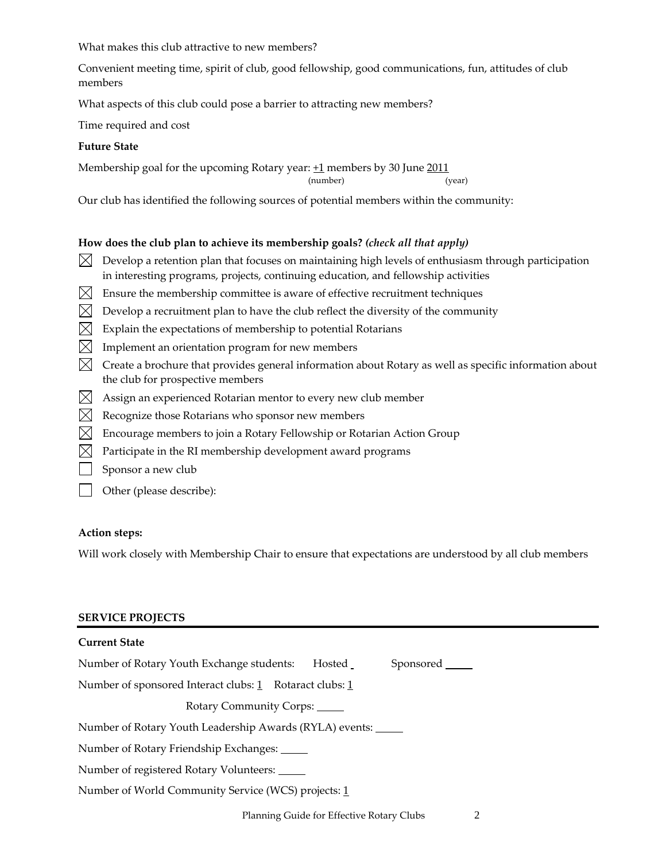What makes this club attractive to new members?

Convenient meeting time, spirit of club, good fellowship, good communications, fun, attitudes of club members

What aspects of this club could pose a barrier to attracting new members?

Time required and cost

# **Future State**

Membership goal for the upcoming Rotary year:  $+1$  members by 30 June  $2011$ 

(number) (year)

Our club has identified the following sources of potential members within the community:

# **How does the club plan to achieve its membership goals?** *(check all that apply)*

- $\bowtie$  Develop a retention plan that focuses on maintaining high levels of enthusiasm through participation in interesting programs, projects, continuing education, and fellowship activities
- $\boxtimes$  Ensure the membership committee is aware of effective recruitment techniques
- $\boxtimes$  Develop a recruitment plan to have the club reflect the diversity of the community
- $\boxtimes$  Explain the expectations of membership to potential Rotarians
- $\boxtimes$  Implement an orientation program for new members
- $\boxtimes$  Create a brochure that provides general information about Rotary as well as specific information about the club for prospective members
- $\boxtimes$  Assign an experienced Rotarian mentor to every new club member
- $\boxtimes$  Recognize those Rotarians who sponsor new members
- $\bowtie$  Encourage members to join a Rotary Fellowship or Rotarian Action Group
- $\bowtie$  Participate in the RI membership development award programs
- Sponsor a new club
- Other (please describe):

# **Action steps:**

Will work closely with Membership Chair to ensure that expectations are understood by all club members

# **SERVICE PROJECTS**

| <b>Current State</b>                                           |                  |
|----------------------------------------------------------------|------------------|
| Number of Rotary Youth Exchange students:<br>Hosted            | Sponsored ______ |
| Number of sponsored Interact clubs: 1 Rotaract clubs: 1        |                  |
| Rotary Community Corps:                                        |                  |
| Number of Rotary Youth Leadership Awards (RYLA) events: ______ |                  |
| Number of Rotary Friendship Exchanges: _____                   |                  |
| Number of registered Rotary Volunteers:                        |                  |
| Number of World Community Service (WCS) projects: 1            |                  |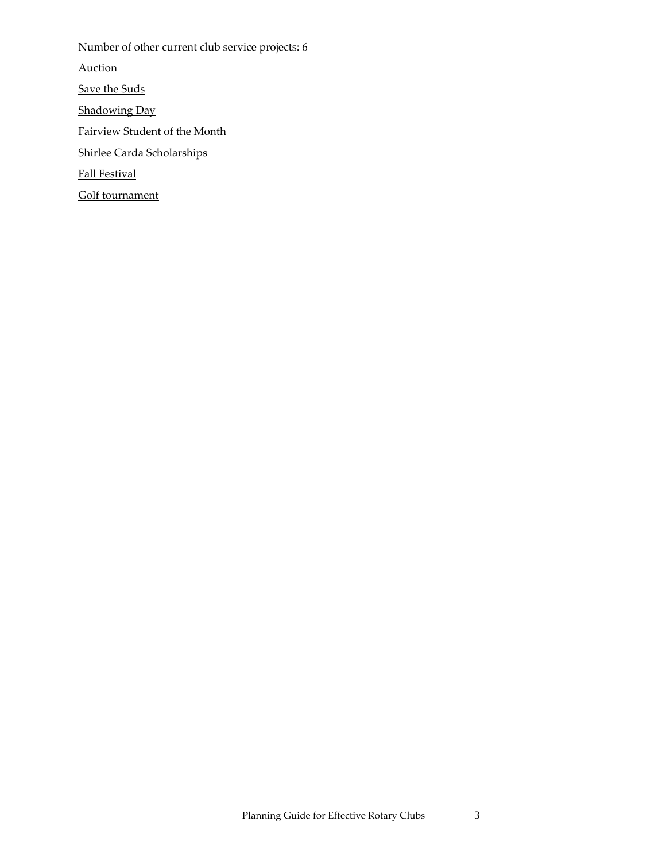Number of other current club service projects: 6 Auction Save the Suds Shadowing Day Fairview Student of the Month Shirlee Carda Scholarships Fall Festival Golf tournament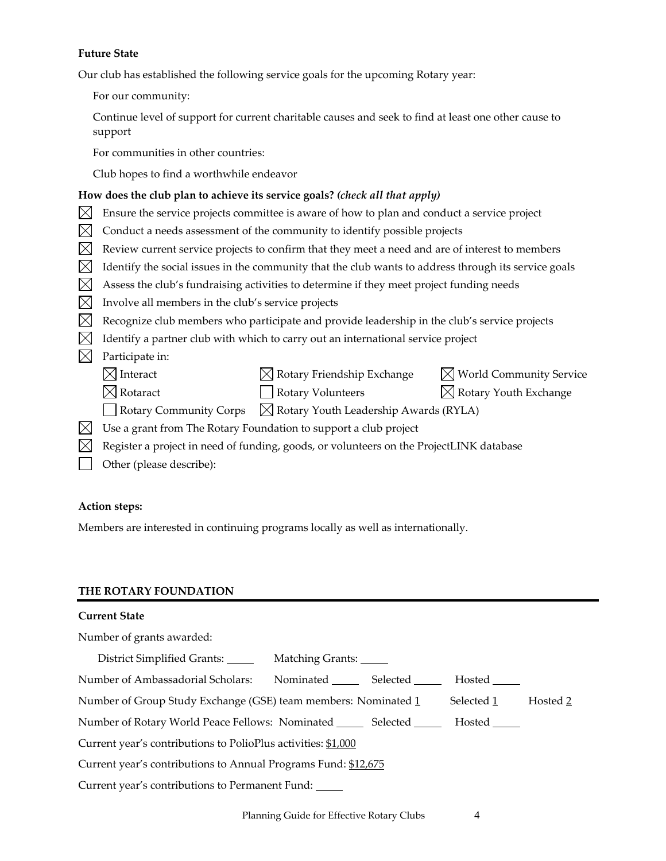## **Future State**

Our club has established the following service goals for the upcoming Rotary year:

For our community:

Continue level of support for current charitable causes and seek to find at least one other cause to support

For communities in other countries:

Club hopes to find a worthwhile endeavor

## **How does the club plan to achieve its service goals?** *(check all that apply)*

- $\boxtimes$  Ensure the service projects committee is aware of how to plan and conduct a service project
- $\boxtimes$  Conduct a needs assessment of the community to identify possible projects
- $\boxtimes$  Review current service projects to confirm that they meet a need and are of interest to members
- $\boxtimes$  Identify the social issues in the community that the club wants to address through its service goals
- $\boxtimes$  Assess the club's fundraising activities to determine if they meet project funding needs
- $\boxtimes$  Involve all members in the club's service projects
- $\boxtimes$  Recognize club members who participate and provide leadership in the club's service projects
- $\boxtimes$  Identify a partner club with which to carry out an international service project
- $\boxtimes$  Participate in:
	- $\boxtimes$  Interact  $\boxtimes$  Rotary Friendship Exchange  $\boxtimes$  World Community Service
	- $\boxtimes$  Rotaract  $\Box$  Rotary Volunteers  $\boxtimes$  Rotary Youth Exchange
		-
- 
- Rotary Community Corps  $\boxtimes$  Rotary Youth Leadership Awards (RYLA)
- $\boxtimes$  Use a grant from The Rotary Foundation to support a club project
- $\boxtimes$  Register a project in need of funding, goods, or volunteers on the ProjectLINK database
- Other (please describe):

## **Action steps:**

Members are interested in continuing programs locally as well as internationally.

## **THE ROTARY FOUNDATION**

#### **Current State**

Number of grants awarded:

| District Simplified Grants: Matching Grants:                             |                    |  |            |          |  |
|--------------------------------------------------------------------------|--------------------|--|------------|----------|--|
| Number of Ambassadorial Scholars:                                        | Nominated Selected |  | Hosted     |          |  |
| Number of Group Study Exchange (GSE) team members: Nominated 1           |                    |  | Selected 1 | Hosted 2 |  |
| Number of Rotary World Peace Fellows: Nominated ________ Selected ______ |                    |  |            |          |  |
| Current year's contributions to PolioPlus activities: \$1,000            |                    |  |            |          |  |
| Current year's contributions to Annual Programs Fund: \$12,675           |                    |  |            |          |  |
| Current year's contributions to Permanent Fund:                          |                    |  |            |          |  |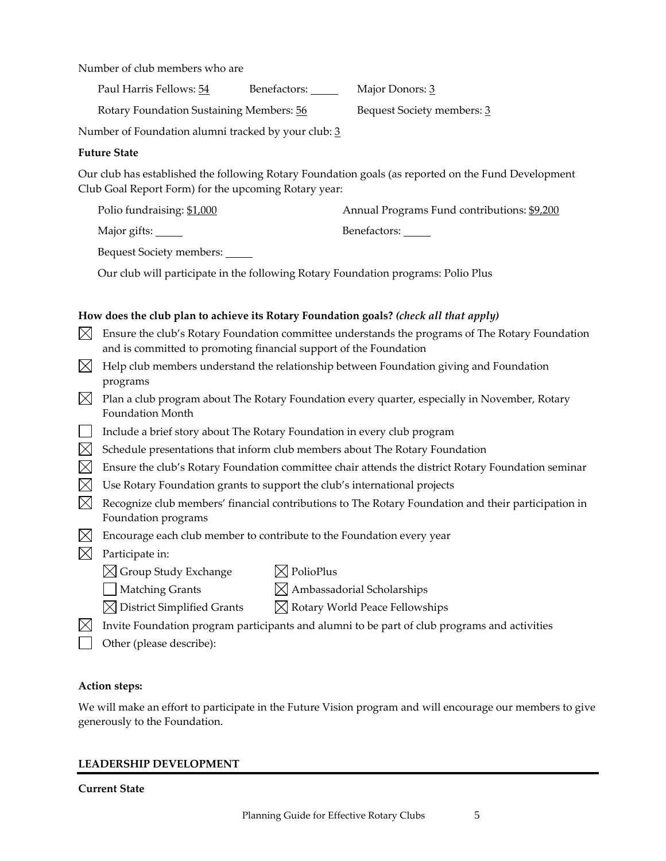Number of club members who are

Paul Harris Fellows: 54 Benefactors: Major Donors: 3

Rotary Foundation Sustaining Members:  $\frac{56}{}$  Bequest Society members: 3

Number of Foundation alumni tracked by your club: 3

# **Future State**

Our club has established the following Rotary Foundation goals (as reported on the Fund Development Club Goal Report Form) for the upcoming Rotary year:

| Polio fundraising: \$1,000<br>Annual Programs Fund contributions: \$9,200 |  |
|---------------------------------------------------------------------------|--|
|---------------------------------------------------------------------------|--|

Major gifts: Sample Major gifts: Benefactors: Sample Benefactors:

Bequest Society members:

Our club will participate in the following Rotary Foundation programs: Polio Plus

# **How does the club plan to achieve its Rotary Foundation goals?** *(check all that apply)*

- $\boxtimes$  Ensure the club's Rotary Foundation committee understands the programs of The Rotary Foundation and is committed to promoting financial support of the Foundation
- $\boxtimes$  Help club members understand the relationship between Foundation giving and Foundation programs
- $\boxtimes$  Plan a club program about The Rotary Foundation every quarter, especially in November, Rotary Foundation Month
- $\Box$  Include a brief story about The Rotary Foundation in every club program
- $\boxtimes$  Schedule presentations that inform club members about The Rotary Foundation
- $\boxtimes$  Ensure the club's Rotary Foundation committee chair attends the district Rotary Foundation seminar
- $\boxtimes$  Use Rotary Foundation grants to support the club's international projects
- $\boxtimes$  Recognize club members' financial contributions to The Rotary Foundation and their participation in Foundation programs
- $\boxtimes$  Encourage each club member to contribute to the Foundation every year
- $\boxtimes$  Participate in:
	- $\boxtimes$  Group Study Exchange  $\boxtimes$  PolioPlus
		-
	-
- 
- 
- $\Box$  Matching Grants  $\boxtimes$  Ambassadorial Scholarships
	-
- $\boxtimes$  District Simplified Grants  $\boxtimes$  Rotary World Peace Fellowships
- $\boxtimes$  Invite Foundation program participants and alumni to be part of club programs and activities
- **C** Other (please describe):

# **Action steps:**

We will make an effort to participate in the Future Vision program and will encourage our members to give generously to the Foundation.

# **LEADERSHIP DEVELOPMENT**

# **Current State**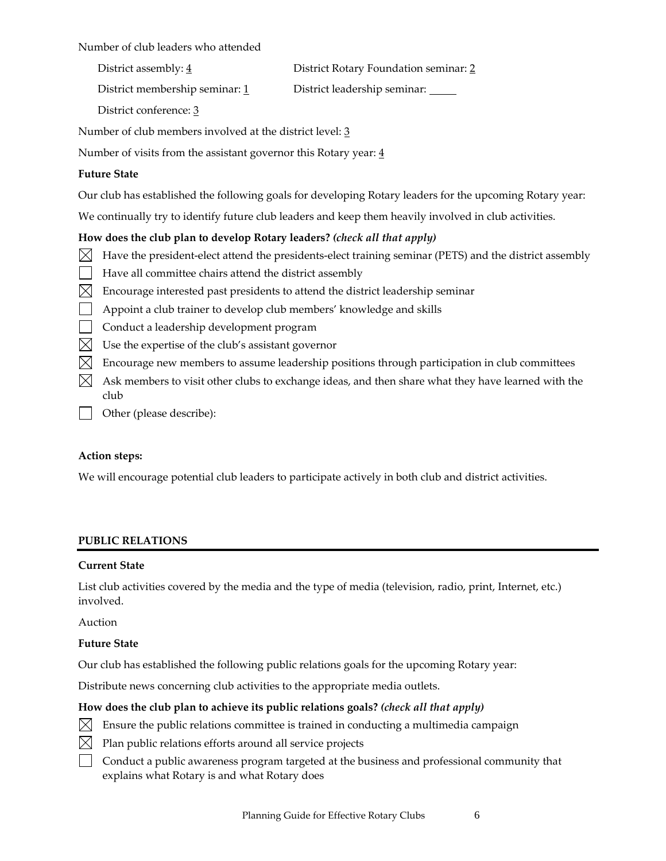Number of club leaders who attended

District assembly: 4 **District Rotary Foundation seminar: 2** 

District membership seminar:  $\frac{1}{2}$  District leadership seminar:

District conference: 3

Number of club members involved at the district level: 3

Number of visits from the assistant governor this Rotary year:  $\underline{4}$ 

# **Future State**

Our club has established the following goals for developing Rotary leaders for the upcoming Rotary year:

We continually try to identify future club leaders and keep them heavily involved in club activities.

# **How does the club plan to develop Rotary leaders?** *(check all that apply)*

- $\boxtimes$  Have the president-elect attend the presidents-elect training seminar (PETS) and the district assembly
- Have all committee chairs attend the district assembly
- $\boxtimes$  Encourage interested past presidents to attend the district leadership seminar
- **Appoint a club trainer to develop club members' knowledge and skills**
- Conduct a leadership development program
- $\boxtimes$  Use the expertise of the club's assistant governor
- $\boxtimes$  Encourage new members to assume leadership positions through participation in club committees
- $\boxtimes$  Ask members to visit other clubs to exchange ideas, and then share what they have learned with the club
- Other (please describe):

# **Action steps:**

We will encourage potential club leaders to participate actively in both club and district activities.

# **PUBLIC RELATIONS**

# **Current State**

List club activities covered by the media and the type of media (television, radio, print, Internet, etc.) involved.

Auction

# **Future State**

Our club has established the following public relations goals for the upcoming Rotary year:

Distribute news concerning club activities to the appropriate media outlets.

# **How does the club plan to achieve its public relations goals?** *(check all that apply)*

- $\boxtimes$  Ensure the public relations committee is trained in conducting a multimedia campaign
- $\boxtimes$  Plan public relations efforts around all service projects
- Conduct a public awareness program targeted at the business and professional community that explains what Rotary is and what Rotary does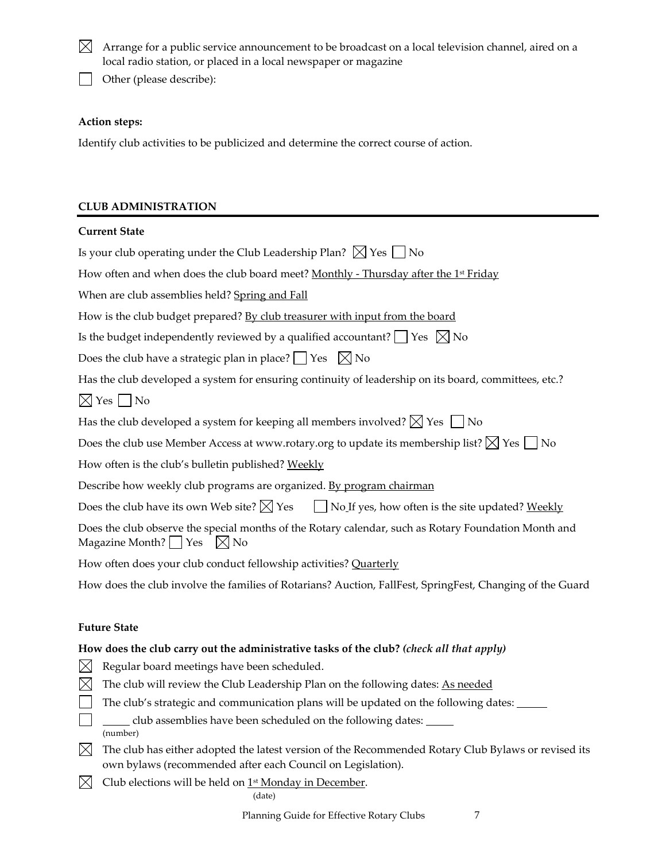- $\boxtimes$  Arrange for a public service announcement to be broadcast on a local television channel, aired on a local radio station, or placed in a local newspaper or magazine
- Other (please describe):

## **Action steps:**

Identify club activities to be publicized and determine the correct course of action.

# **CLUB ADMINISTRATION**

## **Current State**

Is your club operating under the Club Leadership Plan?  $\boxtimes$  Yes  $\Box$  No

How often and when does the club board meet? Monthly - Thursday after the 1st Friday

When are club assemblies held? Spring and Fall

How is the club budget prepared? By club treasurer with input from the board

Is the budget independently reviewed by a qualified accountant?  $\vert$  Yes  $\vert \times$  No

Does the club have a strategic plan in place?  $\Box$  Yes  $\Box$  No

Has the club developed a system for ensuring continuity of leadership on its board, committees, etc.?

 $\boxtimes$  Yes  $\Box$  No

Has the club developed a system for keeping all members involved?  $\boxtimes$  Yes  $\Box$  No

Does the club use Member Access at www.rotary.org to update its membership list?  $\boxtimes$  Yes  $\Box$  No

How often is the club's bulletin published? Weekly

Describe how weekly club programs are organized. By program chairman

Does the club have its own Web site?  $\boxtimes$  Yes  $\Box$  No If yes, how often is the site updated? Weekly

Does the club observe the special months of the Rotary calendar, such as Rotary Foundation Month and Magazine Month?  $\Box$  Yes  $\Box$  No

How often does your club conduct fellowship activities? Quarterly

How does the club involve the families of Rotarians? Auction, FallFest, SpringFest, Changing of the Guard

## **Future State**

# **How does the club carry out the administrative tasks of the club?** *(check all that apply)*

- $\boxtimes$  Regular board meetings have been scheduled.
- $\boxtimes$  The club will review the Club Leadership Plan on the following dates: As needed
- $\Box$  The club's strategic and communication plans will be updated on the following dates:  $\Box$
- club assemblies have been scheduled on the following dates: (number)
- $\boxtimes$  The club has either adopted the latest version of the Recommended Rotary Club Bylaws or revised its own bylaws (recommended after each Council on Legislation).

 $\boxtimes$  Club elections will be held on 1<sup>st</sup> Monday in December.

(date)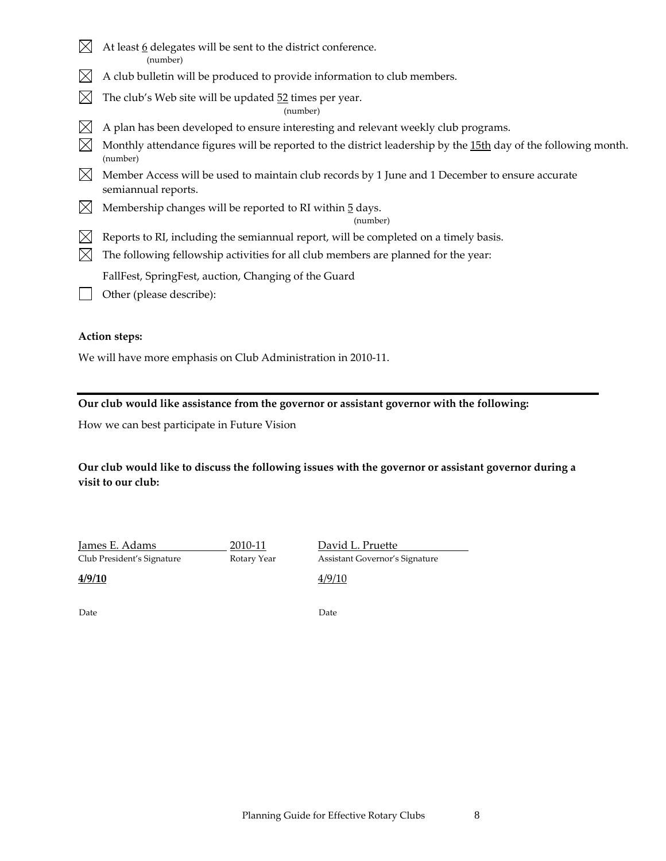- $\boxtimes$  At least <u>6</u> delegates will be sent to the district conference. (number)
- $\boxtimes$  A club bulletin will be produced to provide information to club members.
- $\boxtimes$  The club's Web site will be updated 52 times per year.

(number)

- $\boxtimes$  A plan has been developed to ensure interesting and relevant weekly club programs.
- $\boxtimes$  Monthly attendance figures will be reported to the district leadership by the 15th day of the following month. (number)
- $\boxtimes$  Member Access will be used to maintain club records by 1 June and 1 December to ensure accurate semiannual reports.
- $\boxtimes$  Membership changes will be reported to RI within 5 days.

(number)

- $\boxtimes$  Reports to RI, including the semiannual report, will be completed on a timely basis.
- $\boxtimes$  The following fellowship activities for all club members are planned for the year:

FallFest, SpringFest, auction, Changing of the Guard

Other (please describe):

# **Action steps:**

We will have more emphasis on Club Administration in 2010‐11.

# **Our club would like assistance from the governor or assistant governor with the following:**

How we can best participate in Future Vision

# **Our club would like to discuss the following issues with the governor or assistant governor during a visit to our club:**

James E. Adams 2010‐11 David L. Pruette Club President's Signature Rotary Year Assistant Governor's Signature

**4/9/10** 4/9/10

Date **Date**